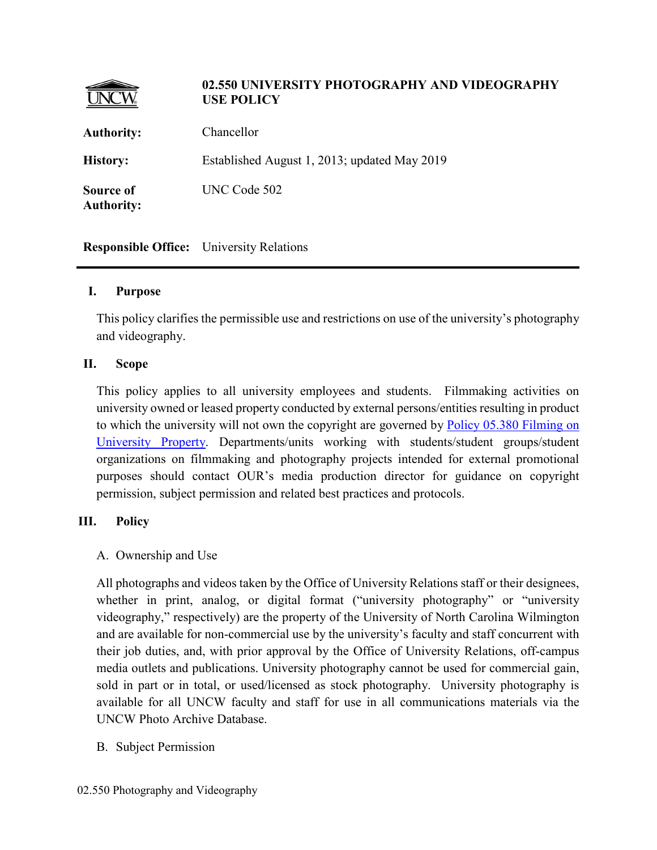|                                | 02.550 UNIVERSITY PHOTOGRAPHY AND VIDEOGRAPHY<br><b>USE POLICY</b> |
|--------------------------------|--------------------------------------------------------------------|
| <b>Authority:</b>              | Chancellor                                                         |
| <b>History:</b>                | Established August 1, 2013; updated May 2019                       |
| Source of<br><b>Authority:</b> | UNC Code 502                                                       |

**Responsible Office:** University Relations

#### **I. Purpose**

This policy clarifies the permissible use and restrictions on use of the university's photography and videography.

#### **II. Scope**

This policy applies to all university employees and students. Filmmaking activities on university owned or leased property conducted by external persons/entities resulting in product to which the university will not own the copyright are governed by [Policy 05.380 Filming on](https://uncw.edu/policies/documents/05_380.pdf)  [University Property.](https://uncw.edu/policies/documents/05_380.pdf) Departments/units working with students/student groups/student organizations on filmmaking and photography projects intended for external promotional purposes should contact OUR's media production director for guidance on copyright permission, subject permission and related best practices and protocols.

## **III. Policy**

## A. Ownership and Use

All photographs and videos taken by the Office of University Relations staff or their designees, whether in print, analog, or digital format ("university photography" or "university videography," respectively) are the property of the University of North Carolina Wilmington and are available for non-commercial use by the university's faculty and staff concurrent with their job duties, and, with prior approval by the Office of University Relations, off-campus media outlets and publications. University photography cannot be used for commercial gain, sold in part or in total, or used/licensed as stock photography. University photography is available for all UNCW faculty and staff for use in all communications materials via the UNCW Photo Archive Database.

B. Subject Permission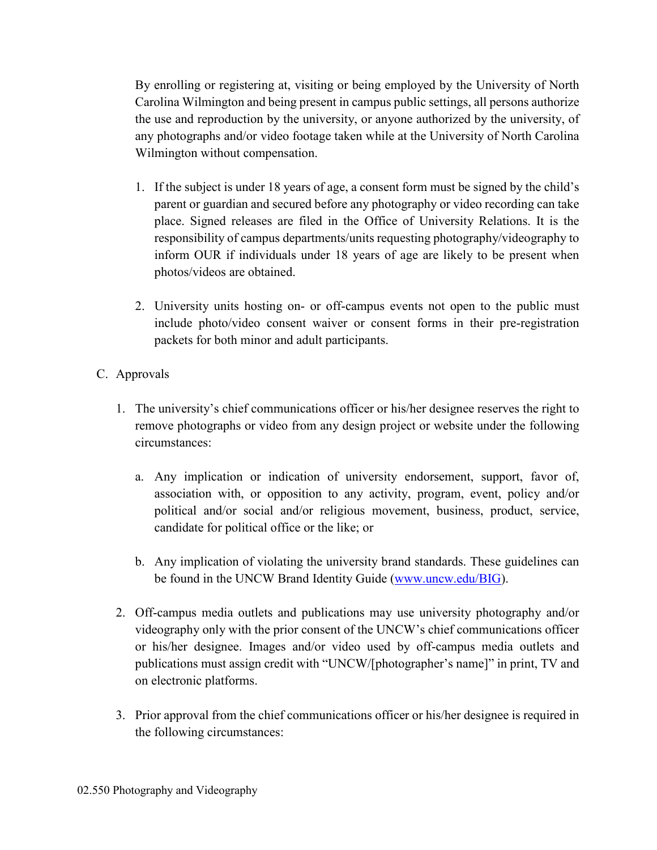By enrolling or registering at, visiting or being employed by the University of North Carolina Wilmington and being present in campus public settings, all persons authorize the use and reproduction by the university, or anyone authorized by the university, of any photographs and/or video footage taken while at the University of North Carolina Wilmington without compensation.

- 1. If the subject is under 18 years of age, a consent form must be signed by the child's parent or guardian and secured before any photography or video recording can take place. Signed releases are filed in the Office of University Relations. It is the responsibility of campus departments/units requesting photography/videography to inform OUR if individuals under 18 years of age are likely to be present when photos/videos are obtained.
- 2. University units hosting on- or off-campus events not open to the public must include photo/video consent waiver or consent forms in their pre-registration packets for both minor and adult participants.
- C. Approvals
	- 1. The university's chief communications officer or his/her designee reserves the right to remove photographs or video from any design project or website under the following circumstances:
		- a. Any implication or indication of university endorsement, support, favor of, association with, or opposition to any activity, program, event, policy and/or political and/or social and/or religious movement, business, product, service, candidate for political office or the like; or
		- b. Any implication of violating the university brand standards. These guidelines can be found in the UNCW Brand Identity Guide [\(www.uncw.edu/BIG\)](http://www.uncw.edu/BIG).
	- 2. Off-campus media outlets and publications may use university photography and/or videography only with the prior consent of the UNCW's chief communications officer or his/her designee. Images and/or video used by off-campus media outlets and publications must assign credit with "UNCW/[photographer's name]" in print, TV and on electronic platforms.
	- 3. Prior approval from the chief communications officer or his/her designee is required in the following circumstances: